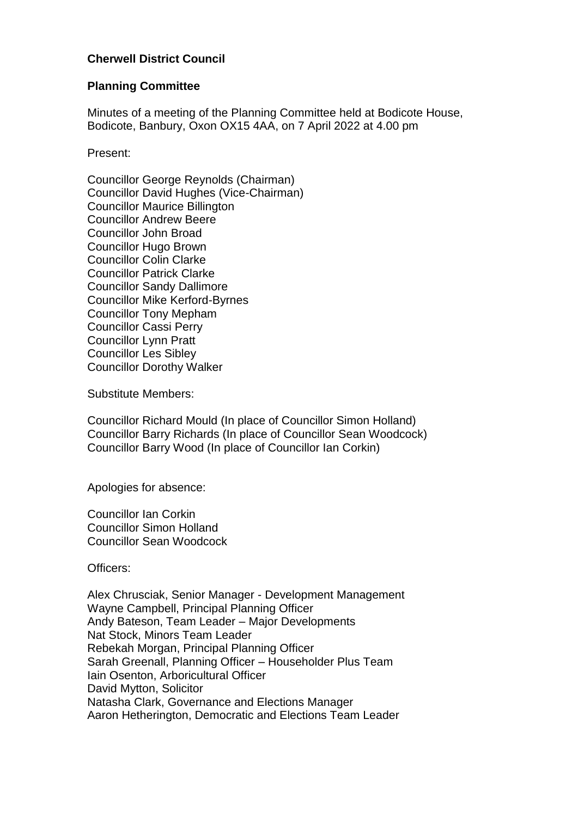## **Cherwell District Council**

#### **Planning Committee**

Minutes of a meeting of the Planning Committee held at Bodicote House, Bodicote, Banbury, Oxon OX15 4AA, on 7 April 2022 at 4.00 pm

Present:

Councillor George Reynolds (Chairman) Councillor David Hughes (Vice-Chairman) Councillor Maurice Billington Councillor Andrew Beere Councillor John Broad Councillor Hugo Brown Councillor Colin Clarke Councillor Patrick Clarke Councillor Sandy Dallimore Councillor Mike Kerford-Byrnes Councillor Tony Mepham Councillor Cassi Perry Councillor Lynn Pratt Councillor Les Sibley Councillor Dorothy Walker

Substitute Members:

Councillor Richard Mould (In place of Councillor Simon Holland) Councillor Barry Richards (In place of Councillor Sean Woodcock) Councillor Barry Wood (In place of Councillor Ian Corkin)

Apologies for absence:

Councillor Ian Corkin Councillor Simon Holland Councillor Sean Woodcock

Officers:

Alex Chrusciak, Senior Manager - Development Management Wayne Campbell, Principal Planning Officer Andy Bateson, Team Leader – Major Developments Nat Stock, Minors Team Leader Rebekah Morgan, Principal Planning Officer Sarah Greenall, Planning Officer – Householder Plus Team Iain Osenton, Arboricultural Officer David Mytton, Solicitor Natasha Clark, Governance and Elections Manager Aaron Hetherington, Democratic and Elections Team Leader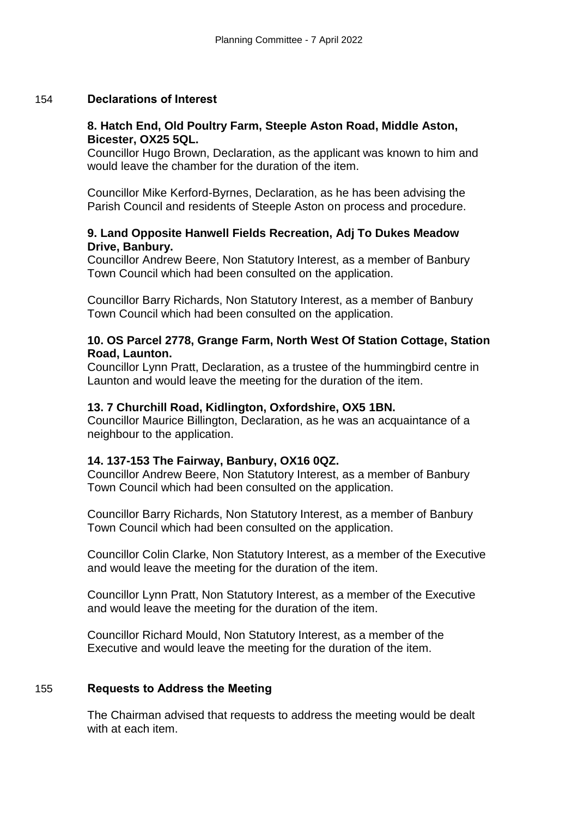#### 154 **Declarations of Interest**

#### **8. Hatch End, Old Poultry Farm, Steeple Aston Road, Middle Aston, Bicester, OX25 5QL.**

Councillor Hugo Brown, Declaration, as the applicant was known to him and would leave the chamber for the duration of the item.

Councillor Mike Kerford-Byrnes, Declaration, as he has been advising the Parish Council and residents of Steeple Aston on process and procedure.

#### **9. Land Opposite Hanwell Fields Recreation, Adj To Dukes Meadow Drive, Banbury.**

Councillor Andrew Beere, Non Statutory Interest, as a member of Banbury Town Council which had been consulted on the application.

Councillor Barry Richards, Non Statutory Interest, as a member of Banbury Town Council which had been consulted on the application.

## **10. OS Parcel 2778, Grange Farm, North West Of Station Cottage, Station Road, Launton.**

Councillor Lynn Pratt, Declaration, as a trustee of the hummingbird centre in Launton and would leave the meeting for the duration of the item.

## **13. 7 Churchill Road, Kidlington, Oxfordshire, OX5 1BN.**

Councillor Maurice Billington, Declaration, as he was an acquaintance of a neighbour to the application.

## **14. 137-153 The Fairway, Banbury, OX16 0QZ.**

Councillor Andrew Beere, Non Statutory Interest, as a member of Banbury Town Council which had been consulted on the application.

Councillor Barry Richards, Non Statutory Interest, as a member of Banbury Town Council which had been consulted on the application.

Councillor Colin Clarke, Non Statutory Interest, as a member of the Executive and would leave the meeting for the duration of the item.

Councillor Lynn Pratt, Non Statutory Interest, as a member of the Executive and would leave the meeting for the duration of the item.

Councillor Richard Mould, Non Statutory Interest, as a member of the Executive and would leave the meeting for the duration of the item.

## 155 **Requests to Address the Meeting**

The Chairman advised that requests to address the meeting would be dealt with at each item.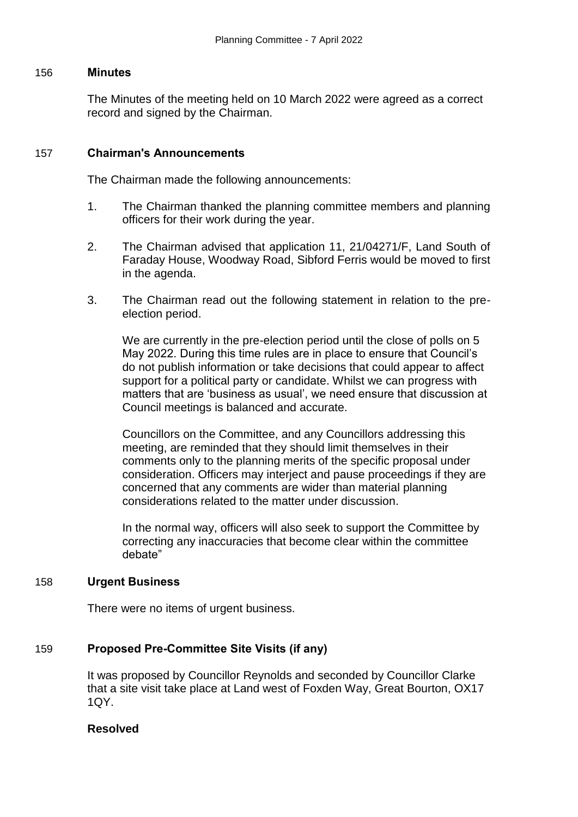#### 156 **Minutes**

The Minutes of the meeting held on 10 March 2022 were agreed as a correct record and signed by the Chairman.

## 157 **Chairman's Announcements**

The Chairman made the following announcements:

- 1. The Chairman thanked the planning committee members and planning officers for their work during the year.
- 2. The Chairman advised that application 11, 21/04271/F, Land South of Faraday House, Woodway Road, Sibford Ferris would be moved to first in the agenda.
- 3. The Chairman read out the following statement in relation to the preelection period.

We are currently in the pre-election period until the close of polls on 5 May 2022. During this time rules are in place to ensure that Council's do not publish information or take decisions that could appear to affect support for a political party or candidate. Whilst we can progress with matters that are 'business as usual', we need ensure that discussion at Council meetings is balanced and accurate.

Councillors on the Committee, and any Councillors addressing this meeting, are reminded that they should limit themselves in their comments only to the planning merits of the specific proposal under consideration. Officers may interject and pause proceedings if they are concerned that any comments are wider than material planning considerations related to the matter under discussion.

In the normal way, officers will also seek to support the Committee by correcting any inaccuracies that become clear within the committee debate"

#### 158 **Urgent Business**

There were no items of urgent business.

## 159 **Proposed Pre-Committee Site Visits (if any)**

It was proposed by Councillor Reynolds and seconded by Councillor Clarke that a site visit take place at Land west of Foxden Way, Great Bourton, OX17 1QY.

# **Resolved**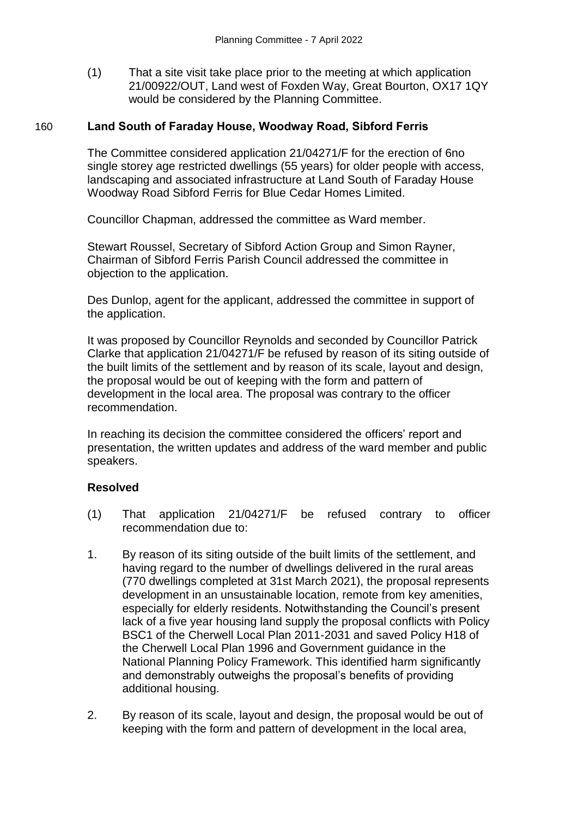(1) That a site visit take place prior to the meeting at which application 21/00922/OUT, Land west of Foxden Way, Great Bourton, OX17 1QY would be considered by the Planning Committee.

#### 160 **Land South of Faraday House, Woodway Road, Sibford Ferris**

The Committee considered application 21/04271/F for the erection of 6no single storey age restricted dwellings (55 years) for older people with access, landscaping and associated infrastructure at Land South of Faraday House Woodway Road Sibford Ferris for Blue Cedar Homes Limited.

Councillor Chapman, addressed the committee as Ward member.

Stewart Roussel, Secretary of Sibford Action Group and Simon Rayner, Chairman of Sibford Ferris Parish Council addressed the committee in objection to the application.

Des Dunlop, agent for the applicant, addressed the committee in support of the application.

It was proposed by Councillor Reynolds and seconded by Councillor Patrick Clarke that application 21/04271/F be refused by reason of its siting outside of the built limits of the settlement and by reason of its scale, layout and design, the proposal would be out of keeping with the form and pattern of development in the local area. The proposal was contrary to the officer recommendation.

In reaching its decision the committee considered the officers' report and presentation, the written updates and address of the ward member and public speakers.

## **Resolved**

- (1) That application 21/04271/F be refused contrary to officer recommendation due to:
- 1. By reason of its siting outside of the built limits of the settlement, and having regard to the number of dwellings delivered in the rural areas (770 dwellings completed at 31st March 2021), the proposal represents development in an unsustainable location, remote from key amenities, especially for elderly residents. Notwithstanding the Council's present lack of a five year housing land supply the proposal conflicts with Policy BSC1 of the Cherwell Local Plan 2011-2031 and saved Policy H18 of the Cherwell Local Plan 1996 and Government guidance in the National Planning Policy Framework. This identified harm significantly and demonstrably outweighs the proposal's benefits of providing additional housing.
- 2. By reason of its scale, layout and design, the proposal would be out of keeping with the form and pattern of development in the local area,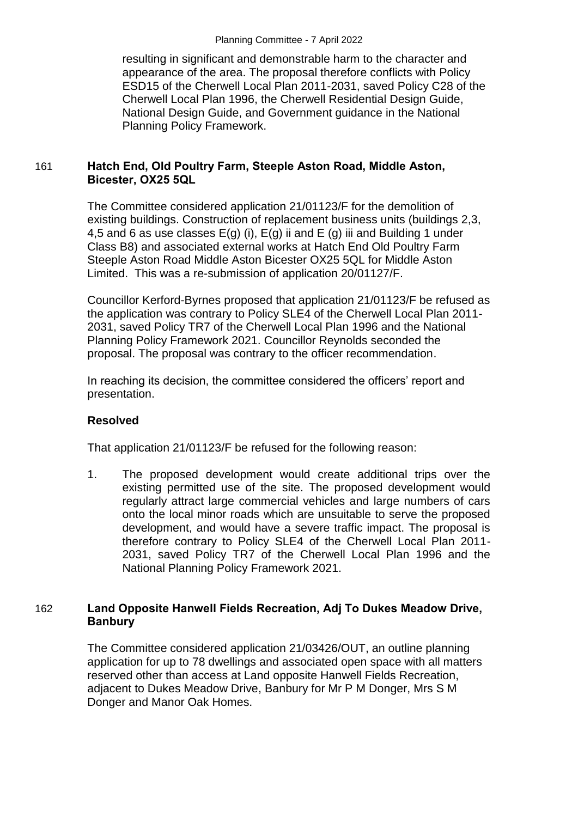resulting in significant and demonstrable harm to the character and appearance of the area. The proposal therefore conflicts with Policy ESD15 of the Cherwell Local Plan 2011-2031, saved Policy C28 of the Cherwell Local Plan 1996, the Cherwell Residential Design Guide, National Design Guide, and Government guidance in the National Planning Policy Framework.

## 161 **Hatch End, Old Poultry Farm, Steeple Aston Road, Middle Aston, Bicester, OX25 5QL**

The Committee considered application 21/01123/F for the demolition of existing buildings. Construction of replacement business units (buildings 2,3, 4,5 and 6 as use classes  $E(q)$  (i),  $E(q)$  ii and  $E(q)$  iii and Building 1 under Class B8) and associated external works at Hatch End Old Poultry Farm Steeple Aston Road Middle Aston Bicester OX25 5QL for Middle Aston Limited. This was a re-submission of application 20/01127/F.

Councillor Kerford-Byrnes proposed that application 21/01123/F be refused as the application was contrary to Policy SLE4 of the Cherwell Local Plan 2011- 2031, saved Policy TR7 of the Cherwell Local Plan 1996 and the National Planning Policy Framework 2021. Councillor Reynolds seconded the proposal. The proposal was contrary to the officer recommendation.

In reaching its decision, the committee considered the officers' report and presentation.

# **Resolved**

That application 21/01123/F be refused for the following reason:

1. The proposed development would create additional trips over the existing permitted use of the site. The proposed development would regularly attract large commercial vehicles and large numbers of cars onto the local minor roads which are unsuitable to serve the proposed development, and would have a severe traffic impact. The proposal is therefore contrary to Policy SLE4 of the Cherwell Local Plan 2011- 2031, saved Policy TR7 of the Cherwell Local Plan 1996 and the National Planning Policy Framework 2021.

## 162 **Land Opposite Hanwell Fields Recreation, Adj To Dukes Meadow Drive, Banbury**

The Committee considered application 21/03426/OUT, an outline planning application for up to 78 dwellings and associated open space with all matters reserved other than access at Land opposite Hanwell Fields Recreation, adjacent to Dukes Meadow Drive, Banbury for Mr P M Donger, Mrs S M Donger and Manor Oak Homes.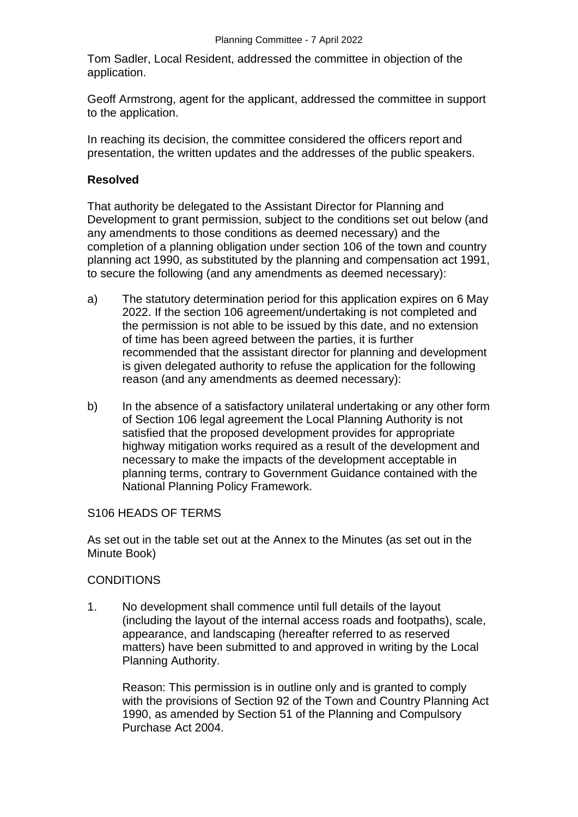Tom Sadler, Local Resident, addressed the committee in objection of the application.

Geoff Armstrong, agent for the applicant, addressed the committee in support to the application.

In reaching its decision, the committee considered the officers report and presentation, the written updates and the addresses of the public speakers.

#### **Resolved**

That authority be delegated to the Assistant Director for Planning and Development to grant permission, subject to the conditions set out below (and any amendments to those conditions as deemed necessary) and the completion of a planning obligation under section 106 of the town and country planning act 1990, as substituted by the planning and compensation act 1991, to secure the following (and any amendments as deemed necessary):

- a) The statutory determination period for this application expires on 6 May 2022. If the section 106 agreement/undertaking is not completed and the permission is not able to be issued by this date, and no extension of time has been agreed between the parties, it is further recommended that the assistant director for planning and development is given delegated authority to refuse the application for the following reason (and any amendments as deemed necessary):
- b) In the absence of a satisfactory unilateral undertaking or any other form of Section 106 legal agreement the Local Planning Authority is not satisfied that the proposed development provides for appropriate highway mitigation works required as a result of the development and necessary to make the impacts of the development acceptable in planning terms, contrary to Government Guidance contained with the National Planning Policy Framework.

#### S106 HEADS OF TERMS

As set out in the table set out at the Annex to the Minutes (as set out in the Minute Book)

## **CONDITIONS**

1. No development shall commence until full details of the layout (including the layout of the internal access roads and footpaths), scale, appearance, and landscaping (hereafter referred to as reserved matters) have been submitted to and approved in writing by the Local Planning Authority.

Reason: This permission is in outline only and is granted to comply with the provisions of Section 92 of the Town and Country Planning Act 1990, as amended by Section 51 of the Planning and Compulsory Purchase Act 2004.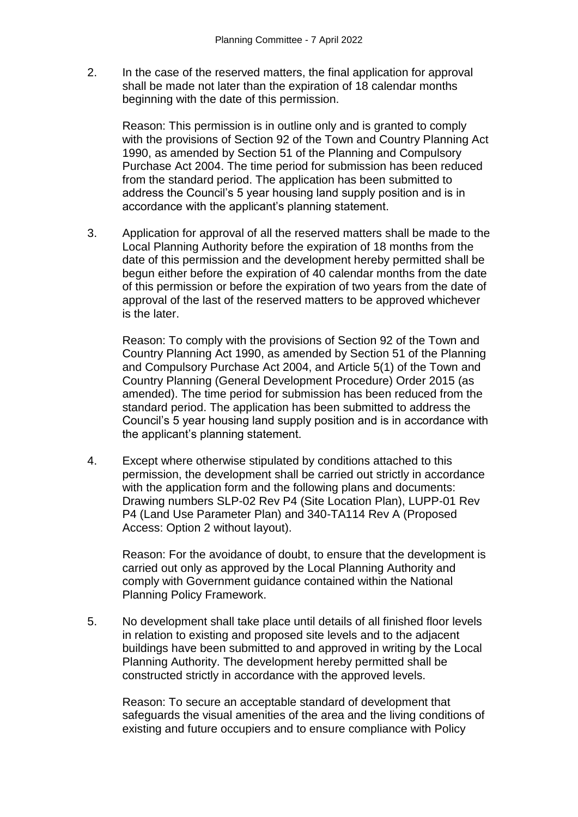2. In the case of the reserved matters, the final application for approval shall be made not later than the expiration of 18 calendar months beginning with the date of this permission.

Reason: This permission is in outline only and is granted to comply with the provisions of Section 92 of the Town and Country Planning Act 1990, as amended by Section 51 of the Planning and Compulsory Purchase Act 2004. The time period for submission has been reduced from the standard period. The application has been submitted to address the Council's 5 year housing land supply position and is in accordance with the applicant's planning statement.

3. Application for approval of all the reserved matters shall be made to the Local Planning Authority before the expiration of 18 months from the date of this permission and the development hereby permitted shall be begun either before the expiration of 40 calendar months from the date of this permission or before the expiration of two years from the date of approval of the last of the reserved matters to be approved whichever is the later.

Reason: To comply with the provisions of Section 92 of the Town and Country Planning Act 1990, as amended by Section 51 of the Planning and Compulsory Purchase Act 2004, and Article 5(1) of the Town and Country Planning (General Development Procedure) Order 2015 (as amended). The time period for submission has been reduced from the standard period. The application has been submitted to address the Council's 5 year housing land supply position and is in accordance with the applicant's planning statement.

4. Except where otherwise stipulated by conditions attached to this permission, the development shall be carried out strictly in accordance with the application form and the following plans and documents: Drawing numbers SLP-02 Rev P4 (Site Location Plan), LUPP-01 Rev P4 (Land Use Parameter Plan) and 340-TA114 Rev A (Proposed Access: Option 2 without layout).

Reason: For the avoidance of doubt, to ensure that the development is carried out only as approved by the Local Planning Authority and comply with Government guidance contained within the National Planning Policy Framework.

5. No development shall take place until details of all finished floor levels in relation to existing and proposed site levels and to the adjacent buildings have been submitted to and approved in writing by the Local Planning Authority. The development hereby permitted shall be constructed strictly in accordance with the approved levels.

Reason: To secure an acceptable standard of development that safeguards the visual amenities of the area and the living conditions of existing and future occupiers and to ensure compliance with Policy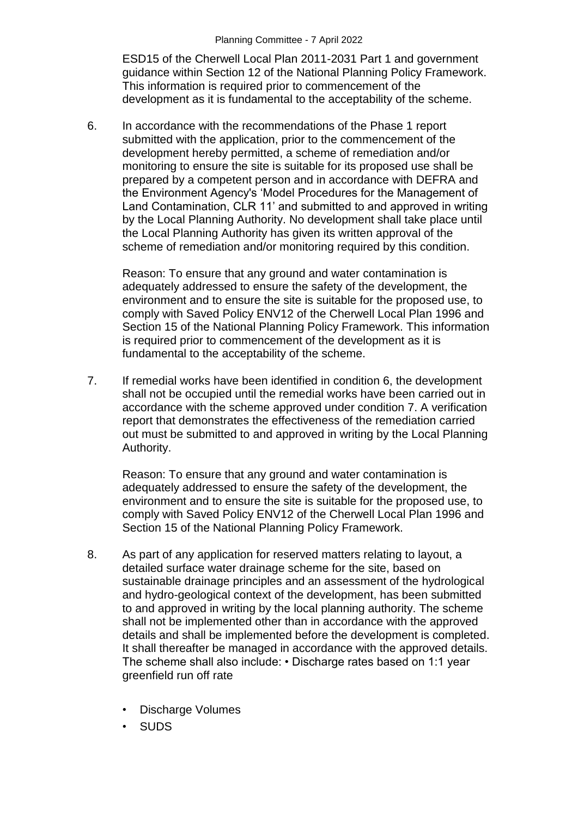ESD15 of the Cherwell Local Plan 2011-2031 Part 1 and government guidance within Section 12 of the National Planning Policy Framework. This information is required prior to commencement of the development as it is fundamental to the acceptability of the scheme.

6. In accordance with the recommendations of the Phase 1 report submitted with the application, prior to the commencement of the development hereby permitted, a scheme of remediation and/or monitoring to ensure the site is suitable for its proposed use shall be prepared by a competent person and in accordance with DEFRA and the Environment Agency's 'Model Procedures for the Management of Land Contamination, CLR 11' and submitted to and approved in writing by the Local Planning Authority. No development shall take place until the Local Planning Authority has given its written approval of the scheme of remediation and/or monitoring required by this condition.

Reason: To ensure that any ground and water contamination is adequately addressed to ensure the safety of the development, the environment and to ensure the site is suitable for the proposed use, to comply with Saved Policy ENV12 of the Cherwell Local Plan 1996 and Section 15 of the National Planning Policy Framework. This information is required prior to commencement of the development as it is fundamental to the acceptability of the scheme.

7. If remedial works have been identified in condition 6, the development shall not be occupied until the remedial works have been carried out in accordance with the scheme approved under condition 7. A verification report that demonstrates the effectiveness of the remediation carried out must be submitted to and approved in writing by the Local Planning Authority.

Reason: To ensure that any ground and water contamination is adequately addressed to ensure the safety of the development, the environment and to ensure the site is suitable for the proposed use, to comply with Saved Policy ENV12 of the Cherwell Local Plan 1996 and Section 15 of the National Planning Policy Framework.

- 8. As part of any application for reserved matters relating to layout, a detailed surface water drainage scheme for the site, based on sustainable drainage principles and an assessment of the hydrological and hydro-geological context of the development, has been submitted to and approved in writing by the local planning authority. The scheme shall not be implemented other than in accordance with the approved details and shall be implemented before the development is completed. It shall thereafter be managed in accordance with the approved details. The scheme shall also include: • Discharge rates based on 1:1 year greenfield run off rate
	- Discharge Volumes
	- SUDS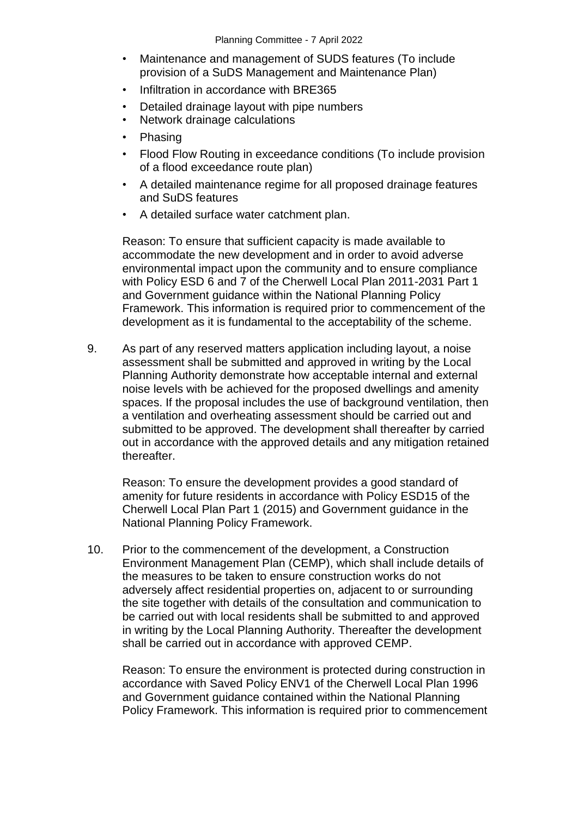- Maintenance and management of SUDS features (To include provision of a SuDS Management and Maintenance Plan)
- Infiltration in accordance with BRE365
- Detailed drainage layout with pipe numbers
- Network drainage calculations
- Phasing
- Flood Flow Routing in exceedance conditions (To include provision of a flood exceedance route plan)
- A detailed maintenance regime for all proposed drainage features and SuDS features
- A detailed surface water catchment plan.

Reason: To ensure that sufficient capacity is made available to accommodate the new development and in order to avoid adverse environmental impact upon the community and to ensure compliance with Policy ESD 6 and 7 of the Cherwell Local Plan 2011-2031 Part 1 and Government guidance within the National Planning Policy Framework. This information is required prior to commencement of the development as it is fundamental to the acceptability of the scheme.

9. As part of any reserved matters application including layout, a noise assessment shall be submitted and approved in writing by the Local Planning Authority demonstrate how acceptable internal and external noise levels with be achieved for the proposed dwellings and amenity spaces. If the proposal includes the use of background ventilation, then a ventilation and overheating assessment should be carried out and submitted to be approved. The development shall thereafter by carried out in accordance with the approved details and any mitigation retained thereafter.

Reason: To ensure the development provides a good standard of amenity for future residents in accordance with Policy ESD15 of the Cherwell Local Plan Part 1 (2015) and Government guidance in the National Planning Policy Framework.

10. Prior to the commencement of the development, a Construction Environment Management Plan (CEMP), which shall include details of the measures to be taken to ensure construction works do not adversely affect residential properties on, adjacent to or surrounding the site together with details of the consultation and communication to be carried out with local residents shall be submitted to and approved in writing by the Local Planning Authority. Thereafter the development shall be carried out in accordance with approved CEMP.

Reason: To ensure the environment is protected during construction in accordance with Saved Policy ENV1 of the Cherwell Local Plan 1996 and Government guidance contained within the National Planning Policy Framework. This information is required prior to commencement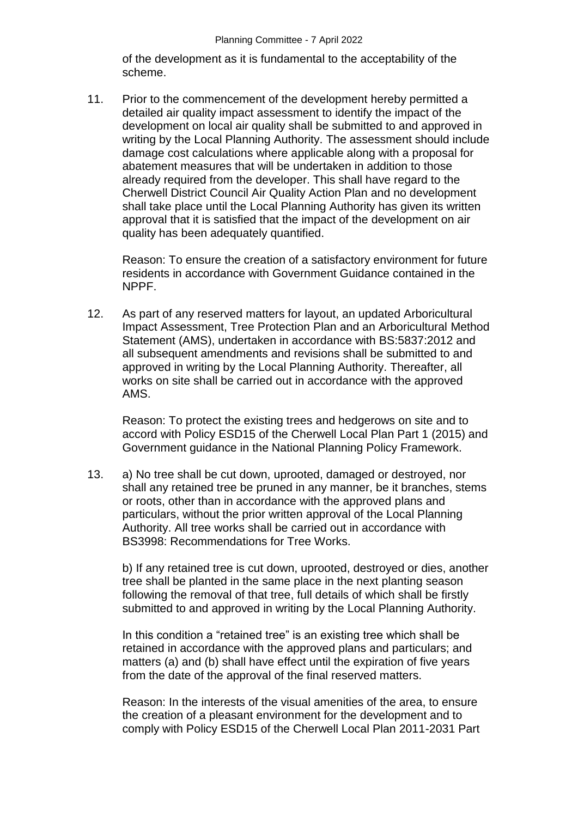of the development as it is fundamental to the acceptability of the scheme.

11. Prior to the commencement of the development hereby permitted a detailed air quality impact assessment to identify the impact of the development on local air quality shall be submitted to and approved in writing by the Local Planning Authority. The assessment should include damage cost calculations where applicable along with a proposal for abatement measures that will be undertaken in addition to those already required from the developer. This shall have regard to the Cherwell District Council Air Quality Action Plan and no development shall take place until the Local Planning Authority has given its written approval that it is satisfied that the impact of the development on air quality has been adequately quantified.

Reason: To ensure the creation of a satisfactory environment for future residents in accordance with Government Guidance contained in the NPPF.

12. As part of any reserved matters for layout, an updated Arboricultural Impact Assessment, Tree Protection Plan and an Arboricultural Method Statement (AMS), undertaken in accordance with BS:5837:2012 and all subsequent amendments and revisions shall be submitted to and approved in writing by the Local Planning Authority. Thereafter, all works on site shall be carried out in accordance with the approved AMS.

Reason: To protect the existing trees and hedgerows on site and to accord with Policy ESD15 of the Cherwell Local Plan Part 1 (2015) and Government guidance in the National Planning Policy Framework.

13. a) No tree shall be cut down, uprooted, damaged or destroyed, nor shall any retained tree be pruned in any manner, be it branches, stems or roots, other than in accordance with the approved plans and particulars, without the prior written approval of the Local Planning Authority. All tree works shall be carried out in accordance with BS3998: Recommendations for Tree Works.

b) If any retained tree is cut down, uprooted, destroyed or dies, another tree shall be planted in the same place in the next planting season following the removal of that tree, full details of which shall be firstly submitted to and approved in writing by the Local Planning Authority.

In this condition a "retained tree" is an existing tree which shall be retained in accordance with the approved plans and particulars; and matters (a) and (b) shall have effect until the expiration of five years from the date of the approval of the final reserved matters.

Reason: In the interests of the visual amenities of the area, to ensure the creation of a pleasant environment for the development and to comply with Policy ESD15 of the Cherwell Local Plan 2011-2031 Part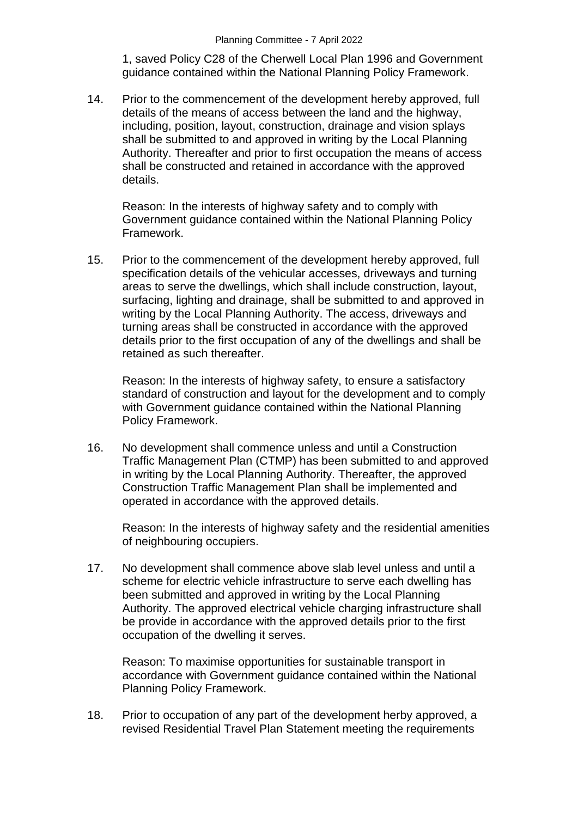1, saved Policy C28 of the Cherwell Local Plan 1996 and Government guidance contained within the National Planning Policy Framework.

14. Prior to the commencement of the development hereby approved, full details of the means of access between the land and the highway, including, position, layout, construction, drainage and vision splays shall be submitted to and approved in writing by the Local Planning Authority. Thereafter and prior to first occupation the means of access shall be constructed and retained in accordance with the approved details.

Reason: In the interests of highway safety and to comply with Government guidance contained within the National Planning Policy Framework.

15. Prior to the commencement of the development hereby approved, full specification details of the vehicular accesses, driveways and turning areas to serve the dwellings, which shall include construction, layout, surfacing, lighting and drainage, shall be submitted to and approved in writing by the Local Planning Authority. The access, driveways and turning areas shall be constructed in accordance with the approved details prior to the first occupation of any of the dwellings and shall be retained as such thereafter.

Reason: In the interests of highway safety, to ensure a satisfactory standard of construction and layout for the development and to comply with Government guidance contained within the National Planning Policy Framework.

16. No development shall commence unless and until a Construction Traffic Management Plan (CTMP) has been submitted to and approved in writing by the Local Planning Authority. Thereafter, the approved Construction Traffic Management Plan shall be implemented and operated in accordance with the approved details.

Reason: In the interests of highway safety and the residential amenities of neighbouring occupiers.

17. No development shall commence above slab level unless and until a scheme for electric vehicle infrastructure to serve each dwelling has been submitted and approved in writing by the Local Planning Authority. The approved electrical vehicle charging infrastructure shall be provide in accordance with the approved details prior to the first occupation of the dwelling it serves.

Reason: To maximise opportunities for sustainable transport in accordance with Government guidance contained within the National Planning Policy Framework.

18. Prior to occupation of any part of the development herby approved, a revised Residential Travel Plan Statement meeting the requirements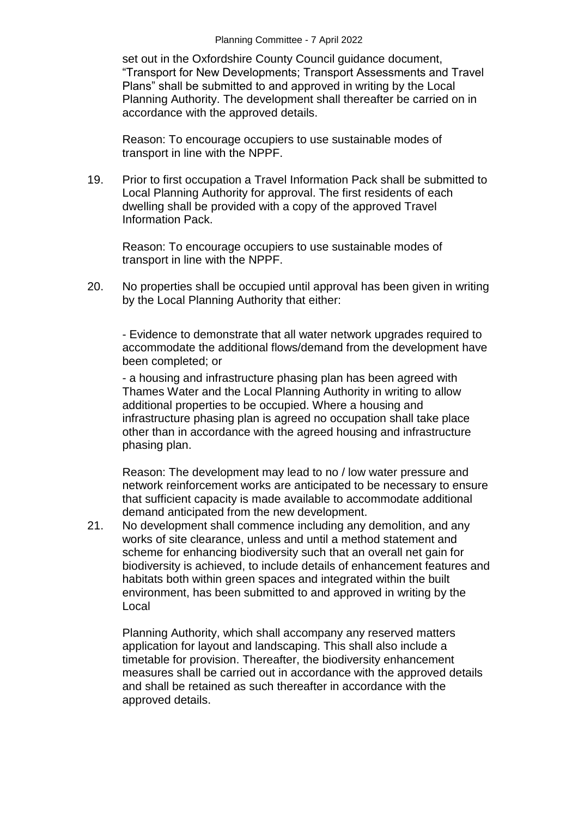set out in the Oxfordshire County Council guidance document, "Transport for New Developments; Transport Assessments and Travel Plans" shall be submitted to and approved in writing by the Local Planning Authority. The development shall thereafter be carried on in accordance with the approved details.

Reason: To encourage occupiers to use sustainable modes of transport in line with the NPPF.

19. Prior to first occupation a Travel Information Pack shall be submitted to Local Planning Authority for approval. The first residents of each dwelling shall be provided with a copy of the approved Travel Information Pack.

Reason: To encourage occupiers to use sustainable modes of transport in line with the NPPF.

20. No properties shall be occupied until approval has been given in writing by the Local Planning Authority that either:

- Evidence to demonstrate that all water network upgrades required to accommodate the additional flows/demand from the development have been completed; or

- a housing and infrastructure phasing plan has been agreed with Thames Water and the Local Planning Authority in writing to allow additional properties to be occupied. Where a housing and infrastructure phasing plan is agreed no occupation shall take place other than in accordance with the agreed housing and infrastructure phasing plan.

Reason: The development may lead to no / low water pressure and network reinforcement works are anticipated to be necessary to ensure that sufficient capacity is made available to accommodate additional demand anticipated from the new development.

21. No development shall commence including any demolition, and any works of site clearance, unless and until a method statement and scheme for enhancing biodiversity such that an overall net gain for biodiversity is achieved, to include details of enhancement features and habitats both within green spaces and integrated within the built environment, has been submitted to and approved in writing by the Local

Planning Authority, which shall accompany any reserved matters application for layout and landscaping. This shall also include a timetable for provision. Thereafter, the biodiversity enhancement measures shall be carried out in accordance with the approved details and shall be retained as such thereafter in accordance with the approved details.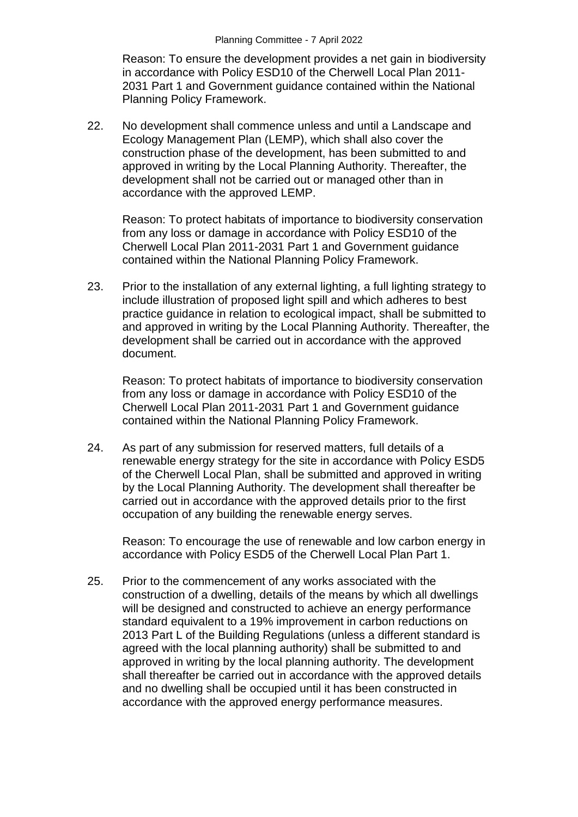Reason: To ensure the development provides a net gain in biodiversity in accordance with Policy ESD10 of the Cherwell Local Plan 2011- 2031 Part 1 and Government guidance contained within the National Planning Policy Framework.

22. No development shall commence unless and until a Landscape and Ecology Management Plan (LEMP), which shall also cover the construction phase of the development, has been submitted to and approved in writing by the Local Planning Authority. Thereafter, the development shall not be carried out or managed other than in accordance with the approved LEMP.

Reason: To protect habitats of importance to biodiversity conservation from any loss or damage in accordance with Policy ESD10 of the Cherwell Local Plan 2011-2031 Part 1 and Government guidance contained within the National Planning Policy Framework.

23. Prior to the installation of any external lighting, a full lighting strategy to include illustration of proposed light spill and which adheres to best practice guidance in relation to ecological impact, shall be submitted to and approved in writing by the Local Planning Authority. Thereafter, the development shall be carried out in accordance with the approved document.

Reason: To protect habitats of importance to biodiversity conservation from any loss or damage in accordance with Policy ESD10 of the Cherwell Local Plan 2011-2031 Part 1 and Government guidance contained within the National Planning Policy Framework.

24. As part of any submission for reserved matters, full details of a renewable energy strategy for the site in accordance with Policy ESD5 of the Cherwell Local Plan, shall be submitted and approved in writing by the Local Planning Authority. The development shall thereafter be carried out in accordance with the approved details prior to the first occupation of any building the renewable energy serves.

Reason: To encourage the use of renewable and low carbon energy in accordance with Policy ESD5 of the Cherwell Local Plan Part 1.

25. Prior to the commencement of any works associated with the construction of a dwelling, details of the means by which all dwellings will be designed and constructed to achieve an energy performance standard equivalent to a 19% improvement in carbon reductions on 2013 Part L of the Building Regulations (unless a different standard is agreed with the local planning authority) shall be submitted to and approved in writing by the local planning authority. The development shall thereafter be carried out in accordance with the approved details and no dwelling shall be occupied until it has been constructed in accordance with the approved energy performance measures.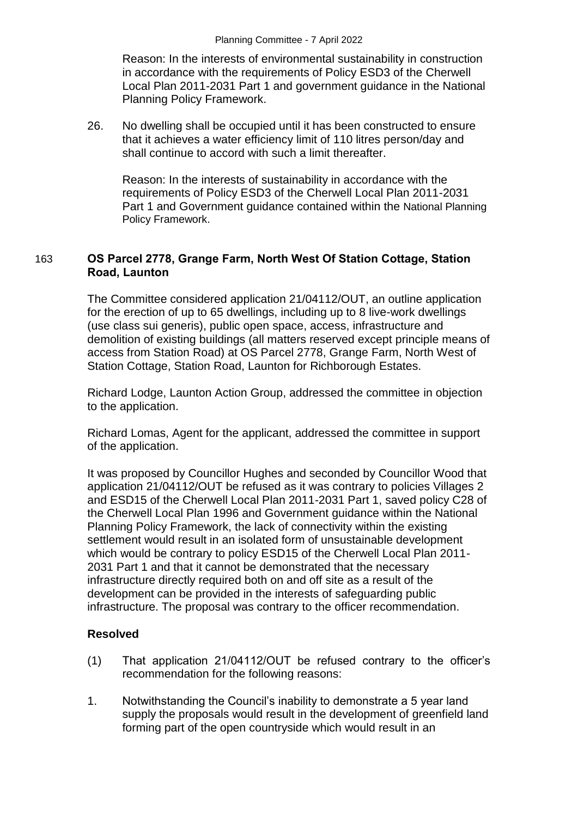Reason: In the interests of environmental sustainability in construction in accordance with the requirements of Policy ESD3 of the Cherwell Local Plan 2011-2031 Part 1 and government guidance in the National Planning Policy Framework.

26. No dwelling shall be occupied until it has been constructed to ensure that it achieves a water efficiency limit of 110 litres person/day and shall continue to accord with such a limit thereafter.

Reason: In the interests of sustainability in accordance with the requirements of Policy ESD3 of the Cherwell Local Plan 2011-2031 Part 1 and Government guidance contained within the National Planning Policy Framework.

# 163 **OS Parcel 2778, Grange Farm, North West Of Station Cottage, Station Road, Launton**

The Committee considered application 21/04112/OUT, an outline application for the erection of up to 65 dwellings, including up to 8 live-work dwellings (use class sui generis), public open space, access, infrastructure and demolition of existing buildings (all matters reserved except principle means of access from Station Road) at OS Parcel 2778, Grange Farm, North West of Station Cottage, Station Road, Launton for Richborough Estates.

Richard Lodge, Launton Action Group, addressed the committee in objection to the application.

Richard Lomas, Agent for the applicant, addressed the committee in support of the application.

It was proposed by Councillor Hughes and seconded by Councillor Wood that application 21/04112/OUT be refused as it was contrary to policies Villages 2 and ESD15 of the Cherwell Local Plan 2011-2031 Part 1, saved policy C28 of the Cherwell Local Plan 1996 and Government guidance within the National Planning Policy Framework, the lack of connectivity within the existing settlement would result in an isolated form of unsustainable development which would be contrary to policy ESD15 of the Cherwell Local Plan 2011- 2031 Part 1 and that it cannot be demonstrated that the necessary infrastructure directly required both on and off site as a result of the development can be provided in the interests of safeguarding public infrastructure. The proposal was contrary to the officer recommendation.

## **Resolved**

- (1) That application 21/04112/OUT be refused contrary to the officer's recommendation for the following reasons:
- 1. Notwithstanding the Council's inability to demonstrate a 5 year land supply the proposals would result in the development of greenfield land forming part of the open countryside which would result in an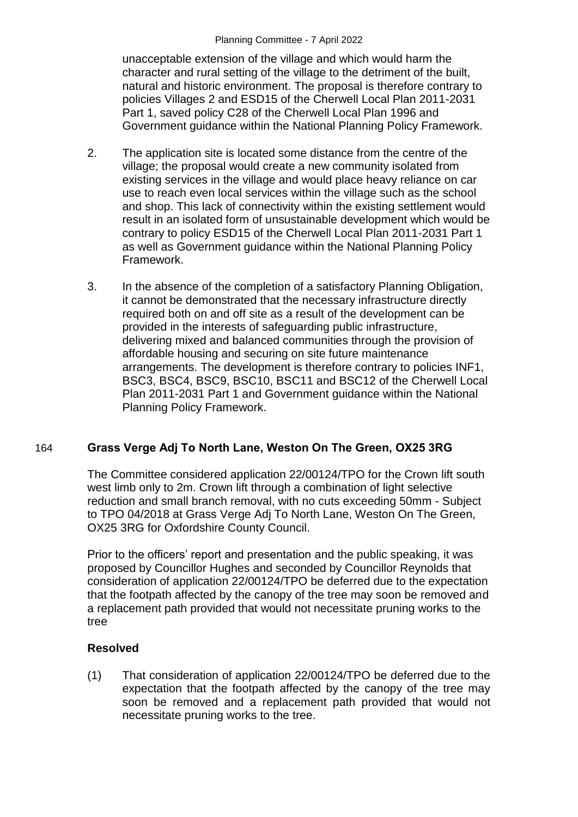unacceptable extension of the village and which would harm the character and rural setting of the village to the detriment of the built, natural and historic environment. The proposal is therefore contrary to policies Villages 2 and ESD15 of the Cherwell Local Plan 2011-2031 Part 1, saved policy C28 of the Cherwell Local Plan 1996 and Government guidance within the National Planning Policy Framework.

- 2. The application site is located some distance from the centre of the village; the proposal would create a new community isolated from existing services in the village and would place heavy reliance on car use to reach even local services within the village such as the school and shop. This lack of connectivity within the existing settlement would result in an isolated form of unsustainable development which would be contrary to policy ESD15 of the Cherwell Local Plan 2011-2031 Part 1 as well as Government guidance within the National Planning Policy Framework.
- 3. In the absence of the completion of a satisfactory Planning Obligation, it cannot be demonstrated that the necessary infrastructure directly required both on and off site as a result of the development can be provided in the interests of safeguarding public infrastructure, delivering mixed and balanced communities through the provision of affordable housing and securing on site future maintenance arrangements. The development is therefore contrary to policies INF1, BSC3, BSC4, BSC9, BSC10, BSC11 and BSC12 of the Cherwell Local Plan 2011-2031 Part 1 and Government guidance within the National Planning Policy Framework.

# 164 **Grass Verge Adj To North Lane, Weston On The Green, OX25 3RG**

The Committee considered application 22/00124/TPO for the Crown lift south west limb only to 2m. Crown lift through a combination of light selective reduction and small branch removal, with no cuts exceeding 50mm - Subject to TPO 04/2018 at Grass Verge Adj To North Lane, Weston On The Green, OX25 3RG for Oxfordshire County Council.

Prior to the officers' report and presentation and the public speaking, it was proposed by Councillor Hughes and seconded by Councillor Reynolds that consideration of application 22/00124/TPO be deferred due to the expectation that the footpath affected by the canopy of the tree may soon be removed and a replacement path provided that would not necessitate pruning works to the tree

# **Resolved**

(1) That consideration of application 22/00124/TPO be deferred due to the expectation that the footpath affected by the canopy of the tree may soon be removed and a replacement path provided that would not necessitate pruning works to the tree.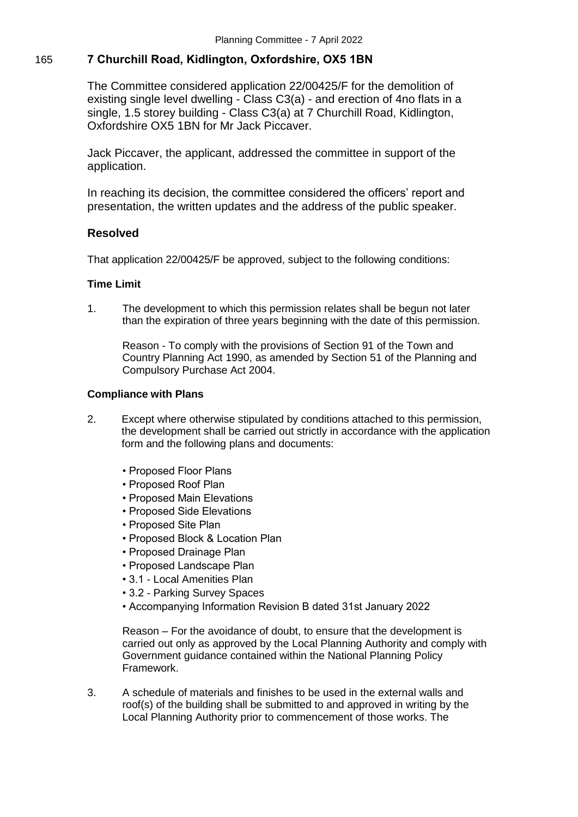# 165 **7 Churchill Road, Kidlington, Oxfordshire, OX5 1BN**

The Committee considered application 22/00425/F for the demolition of existing single level dwelling - Class C3(a) - and erection of 4no flats in a single, 1.5 storey building - Class C3(a) at 7 Churchill Road, Kidlington, Oxfordshire OX5 1BN for Mr Jack Piccaver.

Jack Piccaver, the applicant, addressed the committee in support of the application.

In reaching its decision, the committee considered the officers' report and presentation, the written updates and the address of the public speaker.

## **Resolved**

That application 22/00425/F be approved, subject to the following conditions:

#### **Time Limit**

1. The development to which this permission relates shall be begun not later than the expiration of three years beginning with the date of this permission.

Reason - To comply with the provisions of Section 91 of the Town and Country Planning Act 1990, as amended by Section 51 of the Planning and Compulsory Purchase Act 2004.

#### **Compliance with Plans**

- 2. Except where otherwise stipulated by conditions attached to this permission, the development shall be carried out strictly in accordance with the application form and the following plans and documents:
	- Proposed Floor Plans
	- Proposed Roof Plan
	- Proposed Main Elevations
	- Proposed Side Elevations
	- Proposed Site Plan
	- Proposed Block & Location Plan
	- Proposed Drainage Plan
	- Proposed Landscape Plan
	- 3.1 Local Amenities Plan
	- 3.2 Parking Survey Spaces
	- Accompanying Information Revision B dated 31st January 2022

Reason – For the avoidance of doubt, to ensure that the development is carried out only as approved by the Local Planning Authority and comply with Government guidance contained within the National Planning Policy Framework.

3. A schedule of materials and finishes to be used in the external walls and roof(s) of the building shall be submitted to and approved in writing by the Local Planning Authority prior to commencement of those works. The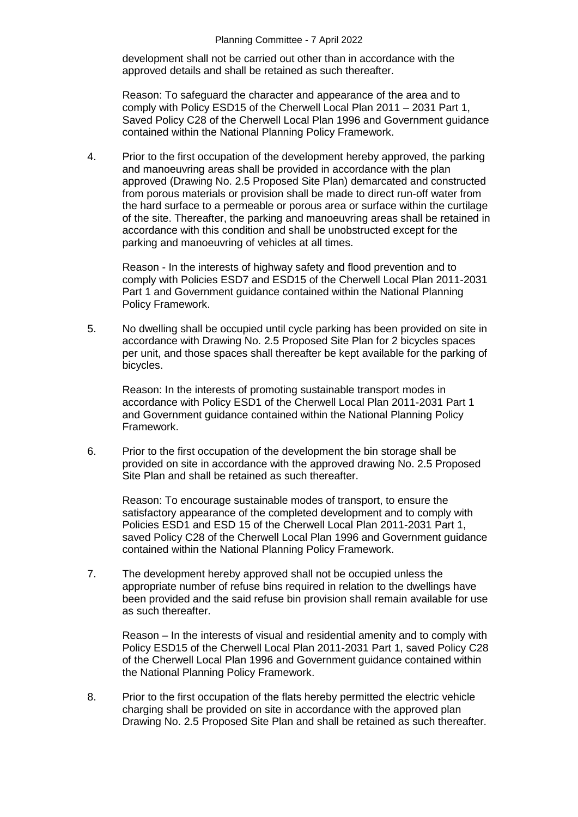development shall not be carried out other than in accordance with the approved details and shall be retained as such thereafter.

Reason: To safeguard the character and appearance of the area and to comply with Policy ESD15 of the Cherwell Local Plan 2011 – 2031 Part 1, Saved Policy C28 of the Cherwell Local Plan 1996 and Government guidance contained within the National Planning Policy Framework.

4. Prior to the first occupation of the development hereby approved, the parking and manoeuvring areas shall be provided in accordance with the plan approved (Drawing No. 2.5 Proposed Site Plan) demarcated and constructed from porous materials or provision shall be made to direct run-off water from the hard surface to a permeable or porous area or surface within the curtilage of the site. Thereafter, the parking and manoeuvring areas shall be retained in accordance with this condition and shall be unobstructed except for the parking and manoeuvring of vehicles at all times.

Reason - In the interests of highway safety and flood prevention and to comply with Policies ESD7 and ESD15 of the Cherwell Local Plan 2011-2031 Part 1 and Government guidance contained within the National Planning Policy Framework.

5. No dwelling shall be occupied until cycle parking has been provided on site in accordance with Drawing No. 2.5 Proposed Site Plan for 2 bicycles spaces per unit, and those spaces shall thereafter be kept available for the parking of bicycles.

Reason: In the interests of promoting sustainable transport modes in accordance with Policy ESD1 of the Cherwell Local Plan 2011-2031 Part 1 and Government guidance contained within the National Planning Policy Framework.

6. Prior to the first occupation of the development the bin storage shall be provided on site in accordance with the approved drawing No. 2.5 Proposed Site Plan and shall be retained as such thereafter.

Reason: To encourage sustainable modes of transport, to ensure the satisfactory appearance of the completed development and to comply with Policies ESD1 and ESD 15 of the Cherwell Local Plan 2011-2031 Part 1, saved Policy C28 of the Cherwell Local Plan 1996 and Government guidance contained within the National Planning Policy Framework.

7. The development hereby approved shall not be occupied unless the appropriate number of refuse bins required in relation to the dwellings have been provided and the said refuse bin provision shall remain available for use as such thereafter.

Reason – In the interests of visual and residential amenity and to comply with Policy ESD15 of the Cherwell Local Plan 2011-2031 Part 1, saved Policy C28 of the Cherwell Local Plan 1996 and Government guidance contained within the National Planning Policy Framework.

8. Prior to the first occupation of the flats hereby permitted the electric vehicle charging shall be provided on site in accordance with the approved plan Drawing No. 2.5 Proposed Site Plan and shall be retained as such thereafter.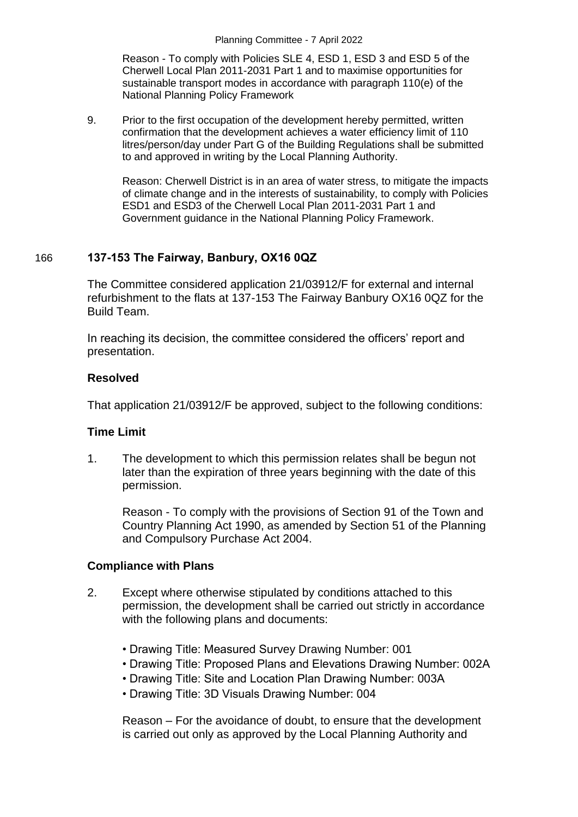Reason - To comply with Policies SLE 4, ESD 1, ESD 3 and ESD 5 of the Cherwell Local Plan 2011-2031 Part 1 and to maximise opportunities for sustainable transport modes in accordance with paragraph 110(e) of the National Planning Policy Framework

9. Prior to the first occupation of the development hereby permitted, written confirmation that the development achieves a water efficiency limit of 110 litres/person/day under Part G of the Building Regulations shall be submitted to and approved in writing by the Local Planning Authority.

Reason: Cherwell District is in an area of water stress, to mitigate the impacts of climate change and in the interests of sustainability, to comply with Policies ESD1 and ESD3 of the Cherwell Local Plan 2011-2031 Part 1 and Government guidance in the National Planning Policy Framework.

# 166 **137-153 The Fairway, Banbury, OX16 0QZ**

The Committee considered application 21/03912/F for external and internal refurbishment to the flats at 137-153 The Fairway Banbury OX16 0QZ for the Build Team.

In reaching its decision, the committee considered the officers' report and presentation.

## **Resolved**

That application 21/03912/F be approved, subject to the following conditions:

# **Time Limit**

1. The development to which this permission relates shall be begun not later than the expiration of three years beginning with the date of this permission.

Reason - To comply with the provisions of Section 91 of the Town and Country Planning Act 1990, as amended by Section 51 of the Planning and Compulsory Purchase Act 2004.

## **Compliance with Plans**

- 2. Except where otherwise stipulated by conditions attached to this permission, the development shall be carried out strictly in accordance with the following plans and documents:
	- Drawing Title: Measured Survey Drawing Number: 001
	- Drawing Title: Proposed Plans and Elevations Drawing Number: 002A
	- Drawing Title: Site and Location Plan Drawing Number: 003A
	- Drawing Title: 3D Visuals Drawing Number: 004

Reason – For the avoidance of doubt, to ensure that the development is carried out only as approved by the Local Planning Authority and